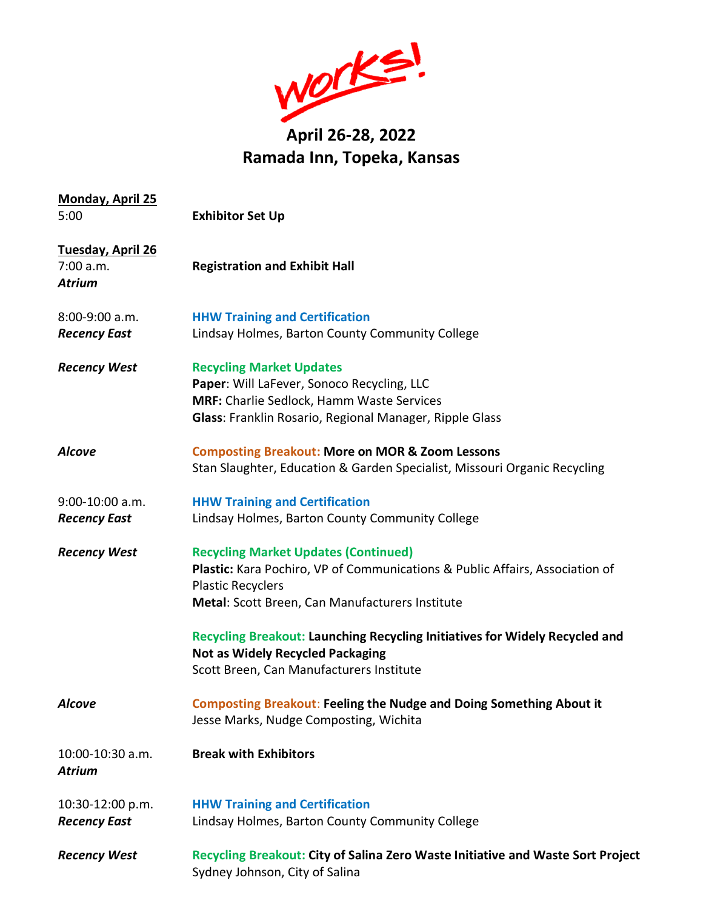

| <b>Monday, April 25</b>                                |                                                                                                                                                                                                            |
|--------------------------------------------------------|------------------------------------------------------------------------------------------------------------------------------------------------------------------------------------------------------------|
| 5:00                                                   | <b>Exhibitor Set Up</b>                                                                                                                                                                                    |
| <b>Tuesday, April 26</b><br>7:00 a.m.<br><b>Atrium</b> | <b>Registration and Exhibit Hall</b>                                                                                                                                                                       |
| 8:00-9:00 a.m.<br><b>Recency East</b>                  | <b>HHW Training and Certification</b><br>Lindsay Holmes, Barton County Community College                                                                                                                   |
| <b>Recency West</b>                                    | <b>Recycling Market Updates</b><br>Paper: Will LaFever, Sonoco Recycling, LLC<br><b>MRF:</b> Charlie Sedlock, Hamm Waste Services<br>Glass: Franklin Rosario, Regional Manager, Ripple Glass               |
| <b>Alcove</b>                                          | <b>Composting Breakout: More on MOR &amp; Zoom Lessons</b><br>Stan Slaughter, Education & Garden Specialist, Missouri Organic Recycling                                                                    |
| 9:00-10:00 a.m.<br><b>Recency East</b>                 | <b>HHW Training and Certification</b><br>Lindsay Holmes, Barton County Community College                                                                                                                   |
| <b>Recency West</b>                                    | <b>Recycling Market Updates (Continued)</b><br>Plastic: Kara Pochiro, VP of Communications & Public Affairs, Association of<br><b>Plastic Recyclers</b><br>Metal: Scott Breen, Can Manufacturers Institute |
|                                                        | Recycling Breakout: Launching Recycling Initiatives for Widely Recycled and<br><b>Not as Widely Recycled Packaging</b><br>Scott Breen, Can Manufacturers Institute                                         |
| Alcove                                                 | <b>Composting Breakout: Feeling the Nudge and Doing Something About it</b><br>Jesse Marks, Nudge Composting, Wichita                                                                                       |
| 10:00-10:30 a.m.<br><b>Atrium</b>                      | <b>Break with Exhibitors</b>                                                                                                                                                                               |
| 10:30-12:00 p.m.<br><b>Recency East</b>                | <b>HHW Training and Certification</b><br>Lindsay Holmes, Barton County Community College                                                                                                                   |
| <b>Recency West</b>                                    | Recycling Breakout: City of Salina Zero Waste Initiative and Waste Sort Project<br>Sydney Johnson, City of Salina                                                                                          |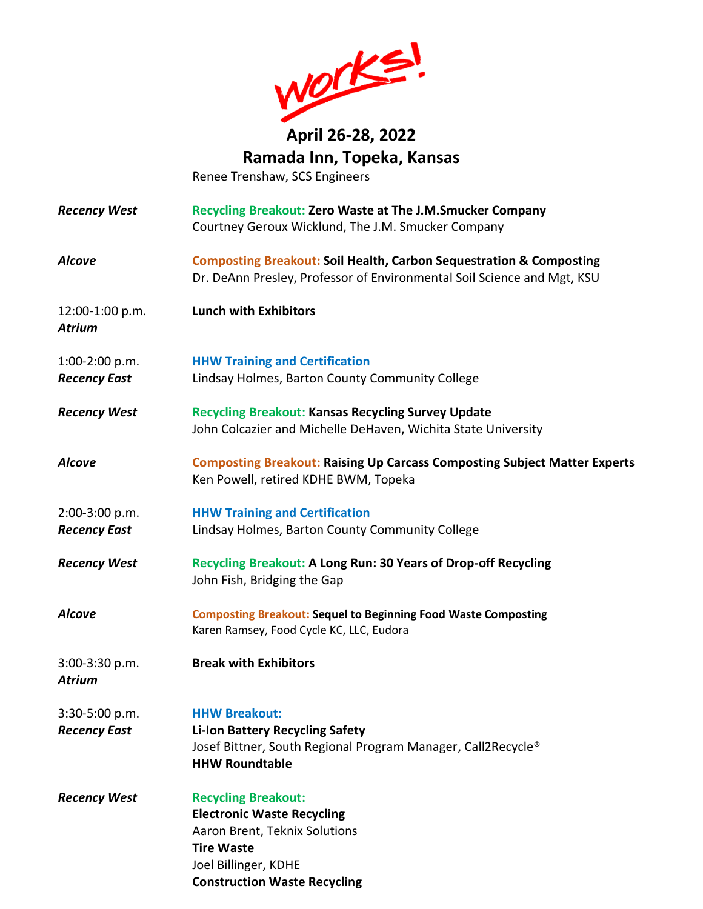

Renee Trenshaw, SCS Engineers

- *Recency West* **Recycling Breakout: Zero Waste at The J.M.Smucker Company** Courtney Geroux Wicklund, The J.M. Smucker Company *Alcove* **Composting Breakout: Soil Health, Carbon Sequestration & Composting** Dr. DeAnn Presley, Professor of Environmental Soil Science and Mgt, KSU 12:00-1:00 p.m. **Lunch with Exhibitors** *Atrium* 1:00-2:00 p.m. **HHW Training and Certification** *Recency East* Lindsay Holmes, Barton County Community College *Recency West* **Recycling Breakout: Kansas Recycling Survey Update** John Colcazier and Michelle DeHaven, Wichita State University *Alcove* **Composting Breakout: Raising Up Carcass Composting Subject Matter Experts**  Ken Powell, retired KDHE BWM, Topeka
- 2:00-3:00 p.m. **HHW Training and Certification** *Recency East* Lindsay Holmes, Barton County Community College
- *Recency West* **Recycling Breakout: A Long Run: 30 Years of Drop-off Recycling** John Fish, Bridging the Gap
- *Alcove* **Composting Breakout: Sequel to Beginning Food Waste Composting** Karen Ramsey, Food Cycle KC, LLC, Eudora
- 3:00-3:30 p.m. **Break with Exhibitors**

*Atrium*

3:30-5:00 p.m. **HHW Breakout:** *Recency East* **Li-Ion Battery Recycling Safety** Josef Bittner, South Regional Program Manager, Call2Recycle® **HHW Roundtable**

**Construction Waste Recycling**

*Recency West* **Recycling Breakout: Electronic Waste Recycling** Aaron Brent, Teknix Solutions **Tire Waste** Joel Billinger, KDHE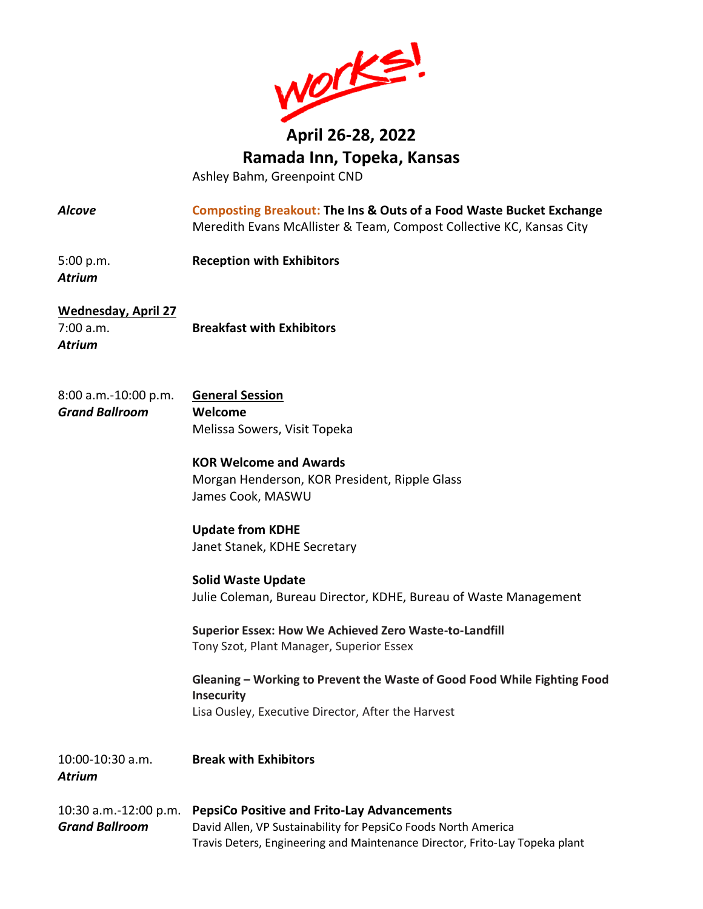

Ashley Bahm, Greenpoint CND

*Alcove* **Composting Breakout: The Ins & Outs of a Food Waste Bucket Exchange** Meredith Evans McAllister & Team, Compost Collective KC, Kansas City

5:00 p.m. **Reception with Exhibitors** *Atrium*

**Wednesday, April 27**

*Atrium*

7:00 a.m. **Breakfast with Exhibitors**

8:00 a.m.-10:00 p.m. **General Session** *Grand Ballroom* **Welcome** Melissa Sowers, Visit Topeka

**KOR Welcome and Awards** Morgan Henderson, KOR President, Ripple Glass

James Cook, MASWU

**Update from KDHE** Janet Stanek, KDHE Secretary

**Solid Waste Update** Julie Coleman, Bureau Director, KDHE, Bureau of Waste Management

**Superior Essex: How We Achieved Zero Waste-to-Landfill** Tony Szot, Plant Manager, Superior Essex

**Gleaning – Working to Prevent the Waste of Good Food While Fighting Food Insecurity** Lisa Ousley, Executive Director, After the Harvest

| 10:00-10:30 a.m.<br>Atrium | <b>Break with Exhibitors</b>                                                |
|----------------------------|-----------------------------------------------------------------------------|
| 10:30 a.m.-12:00 p.m.      | <b>PepsiCo Positive and Frito-Lay Advancements</b>                          |
| Grand Ballroom             | David Allen, VP Sustainability for PepsiCo Foods North America              |
|                            | Travis Deters, Engineering and Maintenance Director, Frito-Lay Topeka plant |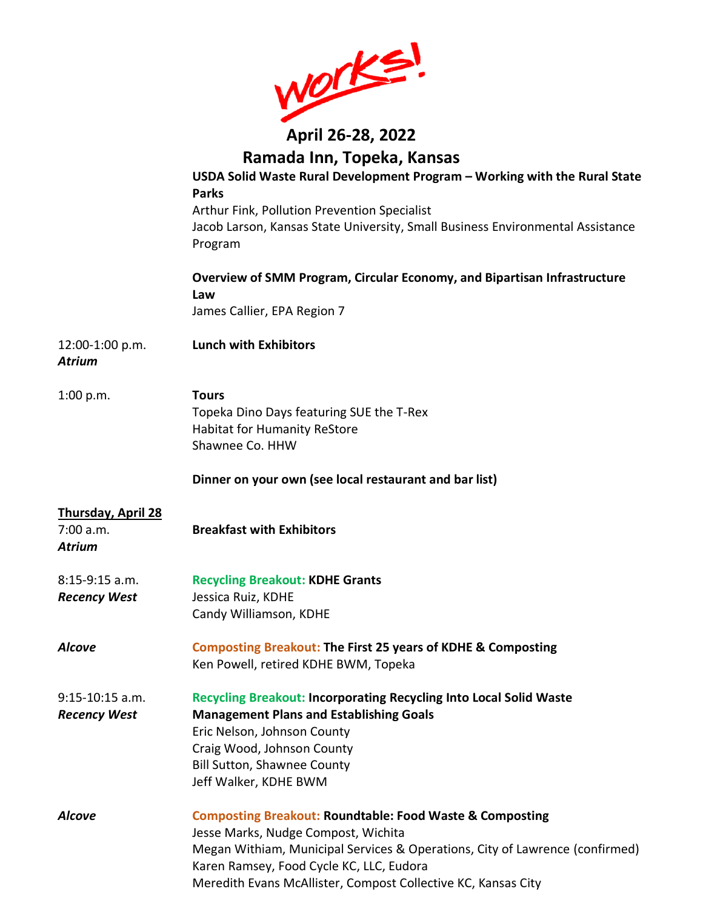|                                  | WOrks!                                                                                                                                    |
|----------------------------------|-------------------------------------------------------------------------------------------------------------------------------------------|
|                                  | April 26-28, 2022                                                                                                                         |
|                                  | Ramada Inn, Topeka, Kansas                                                                                                                |
|                                  | USDA Solid Waste Rural Development Program - Working with the Rural State<br><b>Parks</b>                                                 |
|                                  | Arthur Fink, Pollution Prevention Specialist<br>Jacob Larson, Kansas State University, Small Business Environmental Assistance<br>Program |
|                                  | Overview of SMM Program, Circular Economy, and Bipartisan Infrastructure<br>Law<br>James Callier, EPA Region 7                            |
|                                  |                                                                                                                                           |
| 12:00-1:00 p.m.<br><b>Atrium</b> | <b>Lunch with Exhibitors</b>                                                                                                              |
| 1:00 p.m.                        | <b>Tours</b>                                                                                                                              |
|                                  | Topeka Dino Days featuring SUE the T-Rex                                                                                                  |
|                                  | <b>Habitat for Humanity ReStore</b>                                                                                                       |
|                                  | Shawnee Co. HHW                                                                                                                           |
|                                  | Dinner on your own (see local restaurant and bar list)                                                                                    |
| <b>Thursday, April 28</b>        |                                                                                                                                           |
| 7:00 a.m.<br><b>Atrium</b>       | <b>Breakfast with Exhibitors</b>                                                                                                          |
| $8:15-9:15$ a.m.                 | <b>Recycling Breakout: KDHE Grants</b>                                                                                                    |
| <b>Recency West</b>              | Jessica Ruiz, KDHE                                                                                                                        |
|                                  | Candy Williamson, KDHE                                                                                                                    |
| <b>Alcove</b>                    | <b>Composting Breakout: The First 25 years of KDHE &amp; Composting</b><br>Ken Powell, retired KDHE BWM, Topeka                           |
| 9:15-10:15 a.m.                  | <b>Recycling Breakout: Incorporating Recycling Into Local Solid Waste</b>                                                                 |
| <b>Recency West</b>              | <b>Management Plans and Establishing Goals</b>                                                                                            |
|                                  | Eric Nelson, Johnson County                                                                                                               |
|                                  | Craig Wood, Johnson County                                                                                                                |
|                                  | <b>Bill Sutton, Shawnee County</b><br>Jeff Walker, KDHE BWM                                                                               |
| <b>Alcove</b>                    | <b>Composting Breakout: Roundtable: Food Waste &amp; Composting</b>                                                                       |
|                                  | Jesse Marks, Nudge Compost, Wichita                                                                                                       |
|                                  | Megan Withiam, Municipal Services & Operations, City of Lawrence (confirmed)                                                              |
|                                  | Karen Ramsey, Food Cycle KC, LLC, Eudora                                                                                                  |
|                                  | Meredith Evans McAllister, Compost Collective KC, Kansas City                                                                             |